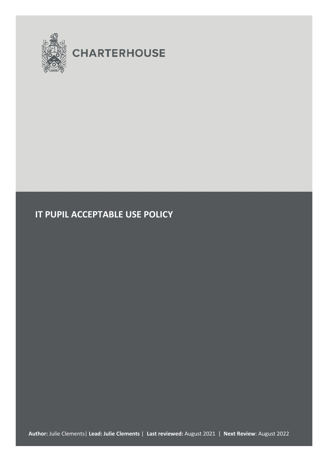

# **CHARTERHOUSE**

# **IT PUPIL ACCEPTABLE USE POLICY**

**Author:** Julie Clements| **Lead: Julie Clements** | **Last reviewed:** August 2021 | **Next Review**: August 2022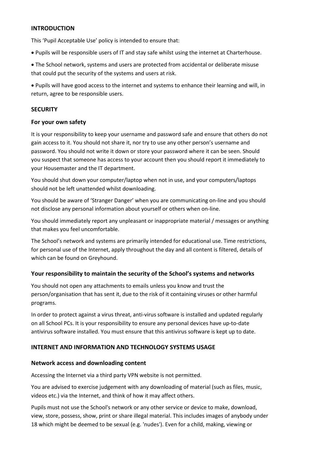#### **INTRODUCTION**

This 'Pupil Acceptable Use' policy is intended to ensure that:

• Pupils will be responsible users of IT and stay safe whilst using the internet at Charterhouse.

• The School network, systems and users are protected from accidental or deliberate misuse that could put the security of the systems and users at risk.

• Pupils will have good access to the internet and systems to enhance their learning and will, in return, agree to be responsible users.

# **SECURITY**

#### **For your own safety**

It is your responsibility to keep your username and password safe and ensure that others do not gain access to it. You should not share it, nor try to use any other person's username and password. You should not write it down or store your password where it can be seen. Should you suspect that someone has access to your account then you should report it immediately to your Housemaster and the IT department.

You should shut down your computer/laptop when not in use, and your computers/laptops should not be left unattended whilst downloading.

You should be aware of 'Stranger Danger' when you are communicating on-line and you should not disclose any personal information about yourself or others when on-line.

You should immediately report any unpleasant or inappropriate material / messages or anything that makes you feel uncomfortable.

The School's network and systems are primarily intended for educational use. Time restrictions, for personal use of the Internet, apply throughout the day and all content is filtered, details of which can be found on Greyhound.

# **Your responsibility to maintain the security of the School's systems and networks**

You should not open any attachments to emails unless you know and trust the person/organisation that has sent it, due to the risk of it containing viruses or other harmful programs.

In order to protect against a virus threat, anti-virus software is installed and updated regularly on all School PCs. It is your responsibility to ensure any personal devices have up-to-date antivirus software installed. You must ensure that this antivirus software is kept up to date.

# **INTERNET AND INFORMATION AND TECHNOLOGY SYSTEMS USAGE**

#### **Network access and downloading content**

Accessing the Internet via a third party VPN website is not permitted.

You are advised to exercise judgement with any downloading of material (such as files, music, videos etc.) via the Internet, and think of how it may affect others.

Pupils must not use the School's network or any other service or device to make, download, view, store, possess, show, print or share illegal material. This includes images of anybody under 18 which might be deemed to be sexual (e.g. 'nudes'). Even for a child, making, viewing or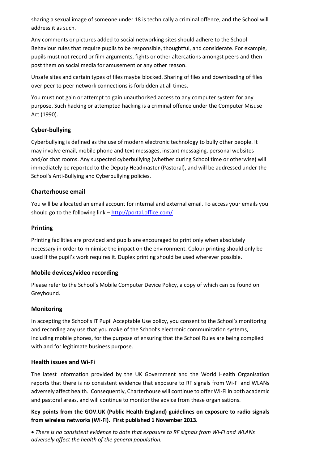sharing a sexual image of someone under 18 is technically a criminal offence, and the School will address it as such.

Any comments or pictures added to social networking sites should adhere to the School Behaviour rules that require pupils to be responsible, thoughtful, and considerate. For example, pupils must not record or film arguments, fights or other altercations amongst peers and then post them on social media for amusement or any other reason.

Unsafe sites and certain types of files maybe blocked. Sharing of files and downloading of files over peer to peer network connections is forbidden at all times.

You must not gain or attempt to gain unauthorised access to any computer system for any purpose. Such hacking or attempted hacking is a criminal offence under the Computer Misuse Act (1990).

# **Cyber-bullying**

Cyberbullying is defined as the use of modern electronic technology to bully other people. It may involve email, mobile phone and text messages, instant messaging, personal websites and/or chat rooms. Any suspected cyberbullying (whether during School time or otherwise) will immediately be reported to the Deputy Headmaster (Pastoral), and will be addressed under the School's Anti-Bullying and Cyberbullying policies.

# **Charterhouse email**

You will be allocated an email account for internal and external email. To access your emails you should go to the following link - <http://portal.office.com/>

# **Printing**

Printing facilities are provided and pupils are encouraged to print only when absolutely necessary in order to minimise the impact on the environment. Colour printing should only be used if the pupil's work requires it. Duplex printing should be used wherever possible.

# **Mobile devices/video recording**

Please refer to the School's Mobile Computer Device Policy, a copy of which can be found on Greyhound.

# **Monitoring**

In accepting the School's IT Pupil Acceptable Use policy, you consent to the School's monitoring and recording any use that you make of the School's electronic communication systems, including mobile phones, for the purpose of ensuring that the School Rules are being complied with and for legitimate business purpose.

# **Health issues and Wi-Fi**

The latest information provided by the UK Government and the World Health Organisation reports that there is no consistent evidence that exposure to RF signals from Wi-Fi and WLANs adversely affect health. Consequently, Charterhouse will continue to offer Wi-Fi in both academic and pastoral areas, and will continue to monitor the advice from these organisations.

**Key points from the GOV.UK (Public Health England) guidelines on exposure to radio signals from wireless networks (Wi-Fi). First published 1 November 2013.**

• *There is no consistent evidence to date that exposure to RF signals from Wi-Fi and WLANs adversely affect the health of the general population.*